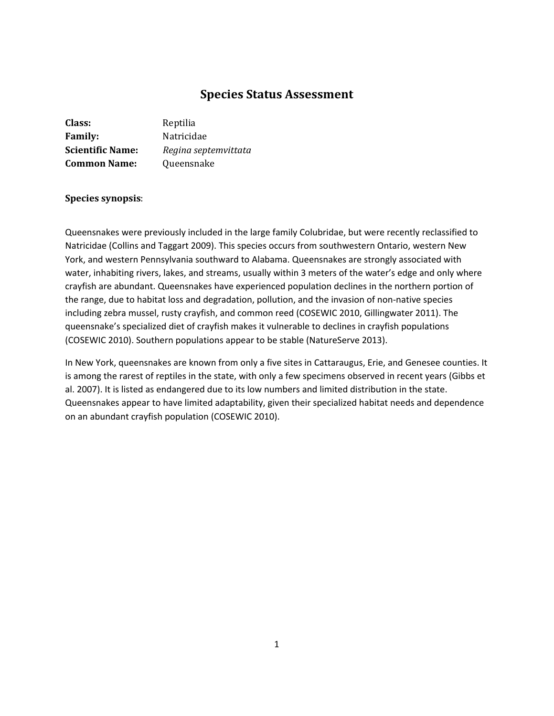# **Species Status Assessment**

| <b>Class:</b>           | Reptilia             |
|-------------------------|----------------------|
| <b>Family:</b>          | Natricidae           |
| <b>Scientific Name:</b> | Regina septemvittata |
| <b>Common Name:</b>     | Queensnake           |

## **Species synopsis**:

Queensnakes were previously included in the large family Colubridae, but were recently reclassified to Natricidae (Collins and Taggart 2009). This species occurs from southwestern Ontario, western New York, and western Pennsylvania southward to Alabama. Queensnakes are strongly associated with water, inhabiting rivers, lakes, and streams, usually within 3 meters of the water's edge and only where crayfish are abundant. Queensnakes have experienced population declines in the northern portion of the range, due to habitat loss and degradation, pollution, and the invasion of non-native species including zebra mussel, rusty crayfish, and common reed (COSEWIC 2010, Gillingwater 2011). The queensnake's specialized diet of crayfish makes it vulnerable to declines in crayfish populations (COSEWIC 2010). Southern populations appear to be stable (NatureServe 2013).

In New York, queensnakes are known from only a five sites in Cattaraugus, Erie, and Genesee counties. It is among the rarest of reptiles in the state, with only a few specimens observed in recent years (Gibbs et al. 2007). It is listed as endangered due to its low numbers and limited distribution in the state. Queensnakes appear to have limited adaptability, given their specialized habitat needs and dependence on an abundant crayfish population (COSEWIC 2010).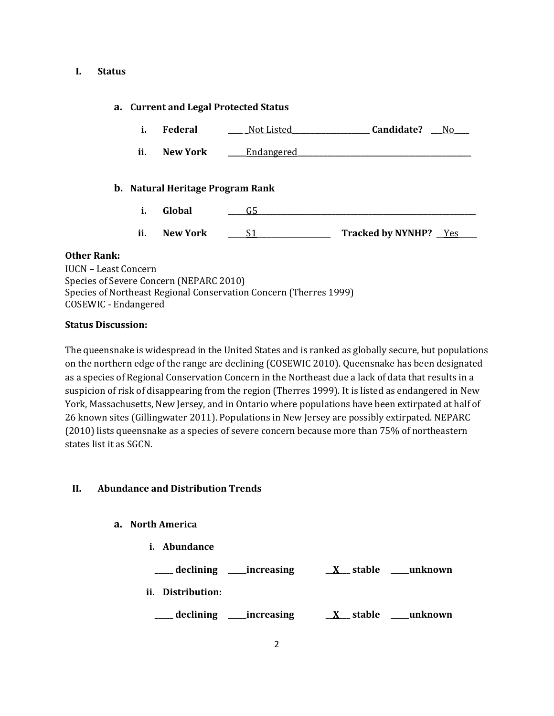#### **I. Status**

## **a. Current and Legal Protected Status**

- **i. Federal \_\_\_\_ \_**Not Listed**\_\_\_\_\_\_\_\_\_\_\_\_\_\_\_\_\_\_\_\_\_ Candidate? \_\_\_**No**\_\_\_\_**
- **ii. New York Leadangered**

## **b. Natural Heritage Program Rank**

- **i. Global \_\_\_\_\_**G5**\_\_\_\_\_\_\_\_\_\_\_\_\_\_\_\_\_\_\_\_\_\_\_\_\_\_\_\_\_\_\_\_\_\_\_\_\_\_\_\_\_\_\_\_\_\_\_\_\_\_\_\_\_\_\_\_\_\_\_**
- **ii. New York \_\_\_\_\_**S1**\_\_\_\_\_\_\_\_\_\_\_\_\_\_\_\_\_\_\_\_ Tracked by NYNHP? \_\_**Yes**\_\_\_\_\_**

#### **Other Rank:**

| IUCN – Least Concern                                              |  |
|-------------------------------------------------------------------|--|
| Species of Severe Concern (NEPARC 2010)                           |  |
| Species of Northeast Regional Conservation Concern (Therres 1999) |  |
| COSEWIC - Endangered                                              |  |

#### **Status Discussion:**

The queensnake is widespread in the United States and is ranked as globally secure, but populations on the northern edge of the range are declining (COSEWIC 2010). Queensnake has been designated as a species of Regional Conservation Concern in the Northeast due a lack of data that results in a suspicion of risk of disappearing from the region (Therres 1999). It is listed as endangered in New York, Massachusetts, New Jersey, and in Ontario where populations have been extirpated at half of 26 known sites (Gillingwater 2011). Populations in New Jersey are possibly extirpated. NEPARC (2010) lists queensnake as a species of severe concern because more than 75% of northeastern states list it as SGCN.

## **II. Abundance and Distribution Trends**

#### **a. North America**

- **i. Abundance**
- **\_\_\_\_\_ declining \_\_\_\_\_increasing \_\_X\_\_\_ stable \_\_\_\_\_unknown ii. Distribution:**
- **\_\_\_\_\_ declining \_\_\_\_\_increasing \_\_X\_\_\_ stable \_\_\_\_\_unknown**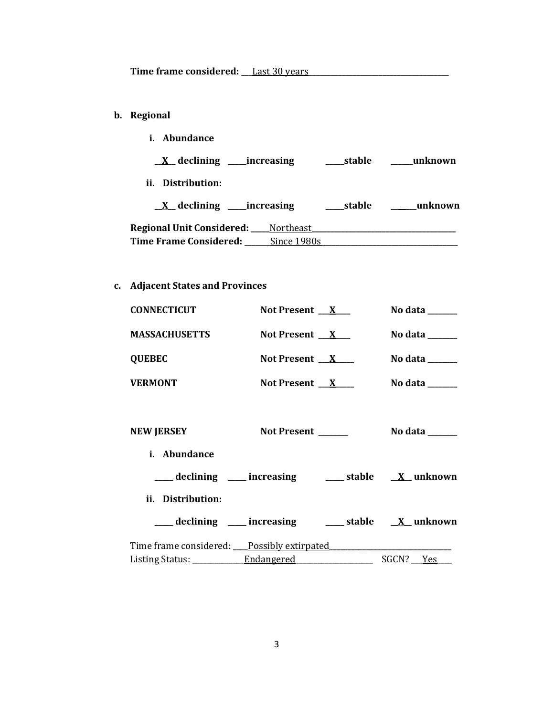- **b. Regional** 
	- **i. Abundance**

| $\underline{X}$ declining _____increasing       |             | stable   | unknown   |
|-------------------------------------------------|-------------|----------|-----------|
| ii. Distribution:                               |             |          |           |
| $X$ declining ______ increasing                 |             | __stable | __unknown |
| <b>Regional Unit Considered:</b> ____ Northeast |             |          |           |
| Time Frame Considered:                          | Since 1980s |          |           |

**c. Adjacent States and Provinces**

| <b>CONNECTICUT</b>   | Not Present $\mathbf{X}$ | No data $\_\_\_\_\_\_\_\_\_\_\_\_\_\_\_\_\_\_\_\_\_\_\_\_\_\_\_\_\_\_\_$ |
|----------------------|--------------------------|--------------------------------------------------------------------------|
| <b>MASSACHUSETTS</b> | Not Present $X$          | No data $\_\_\_\_\_\_\_\_\_\_\_\_\_\_\_\_\_\_\_\_\_\_\_\_\_\_\_\_\_\_\_$ |
| <b>QUEBEC</b>        | Not Present $X$          | No data $\_\_$                                                           |
| <b>VERMONT</b>       | Not Present $\mathbf{X}$ | No data                                                                  |
|                      |                          |                                                                          |

| <b>NEW JERSEY</b>                                                | Not Present ______ | No data ______ |
|------------------------------------------------------------------|--------------------|----------------|
| <i>i.</i> Abundance                                              |                    |                |
| ____ declining ____ increasing _____ stable __ <u>X</u> _unknown |                    |                |
| ii. Distribution:                                                |                    |                |
| ___ declining ___ increasing ___ stable __ X_ unknown            |                    |                |
| Time frame considered: Possibly extirpated                       |                    |                |
| Listing Status: Endangered                                       |                    | SGCN? Yes      |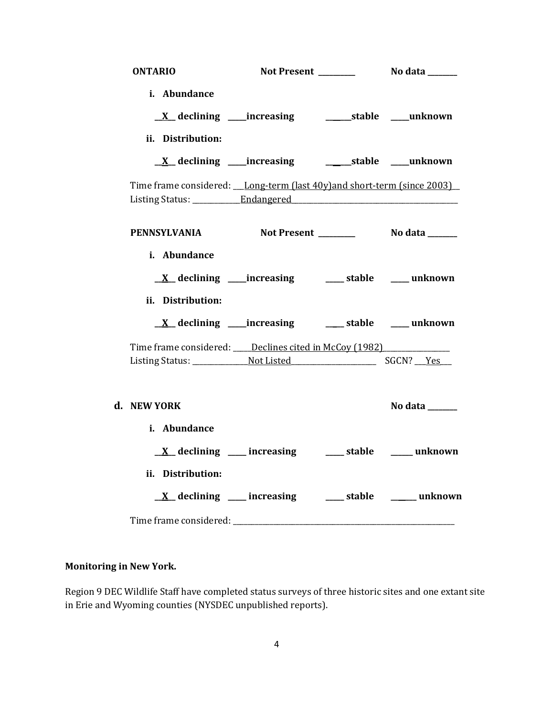| <b>ONTARIO</b>                                                            |                                                                             |                |
|---------------------------------------------------------------------------|-----------------------------------------------------------------------------|----------------|
| i. Abundance                                                              |                                                                             |                |
|                                                                           | <u>X</u> declining ____increasing __________stable ____unknown              |                |
| ii. Distribution:                                                         |                                                                             |                |
|                                                                           | <u>X</u> declining ____increasing ___________stable ____unknown             |                |
| Time frame considered: __Long-term (last 40y)and short-term (since 2003)  |                                                                             |                |
| PENNSYLVANIA Not Present ________ No data _____                           |                                                                             |                |
| i. Abundance                                                              |                                                                             |                |
|                                                                           | $\underline{X}$ declining ____increasing ___________stable ________ unknown |                |
| ii. Distribution:                                                         |                                                                             |                |
|                                                                           |                                                                             |                |
| Time frame considered: ____ Declines cited in McCoy (1982) ______________ |                                                                             |                |
| d. NEW YORK                                                               |                                                                             | No data ______ |
| i. Abundance                                                              |                                                                             |                |
|                                                                           | $\underline{X}$ declining ___ increasing ___ stable ___ unknown             |                |
| ii. Distribution:                                                         |                                                                             |                |
|                                                                           | $\underline{X}$ declining ___ increasing ____ stable ____ unknown           |                |
|                                                                           |                                                                             |                |

# **Monitoring in New York.**

Region 9 DEC Wildlife Staff have completed status surveys of three historic sites and one extant site in Erie and Wyoming counties (NYSDEC unpublished reports).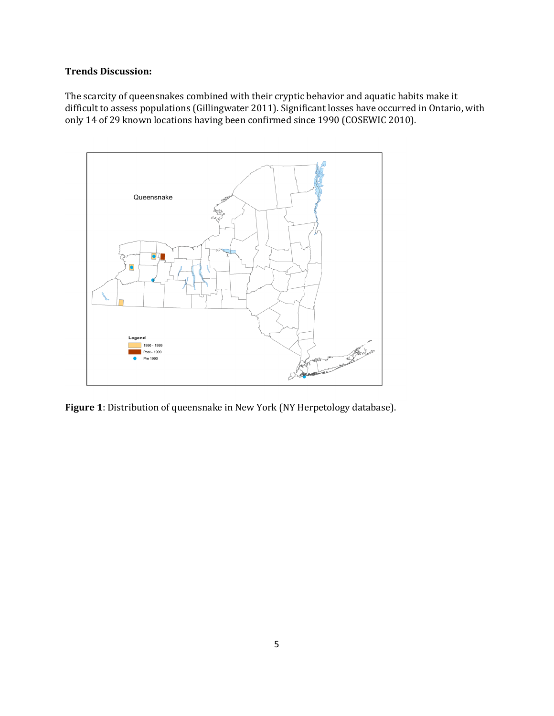## **Trends Discussion:**

The scarcity of queensnakes combined with their cryptic behavior and aquatic habits make it difficult to assess populations (Gillingwater 2011). Significant losses have occurred in Ontario, with only 14 of 29 known locations having been confirmed since 1990 (COSEWIC 2010).



**Figure 1**: Distribution of queensnake in New York (NY Herpetology database).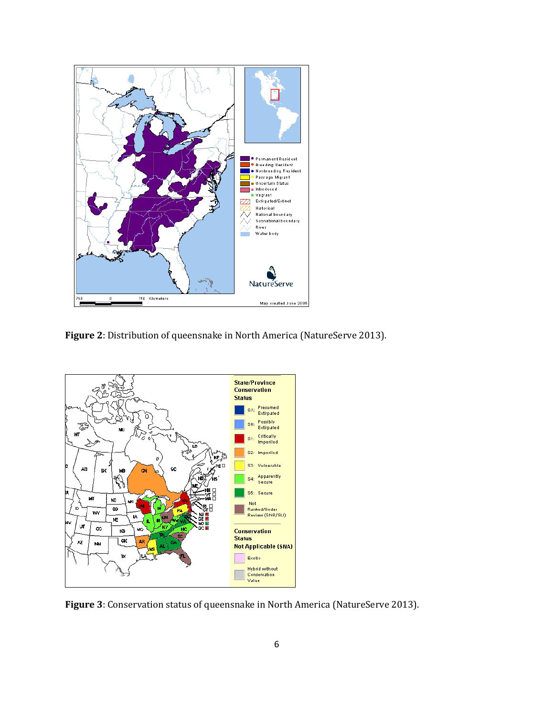

**Figure 2**: Distribution of queensnake in North America (NatureServe 2013).



**Figure 3**: Conservation status of queensnake in North America (NatureServe 2013).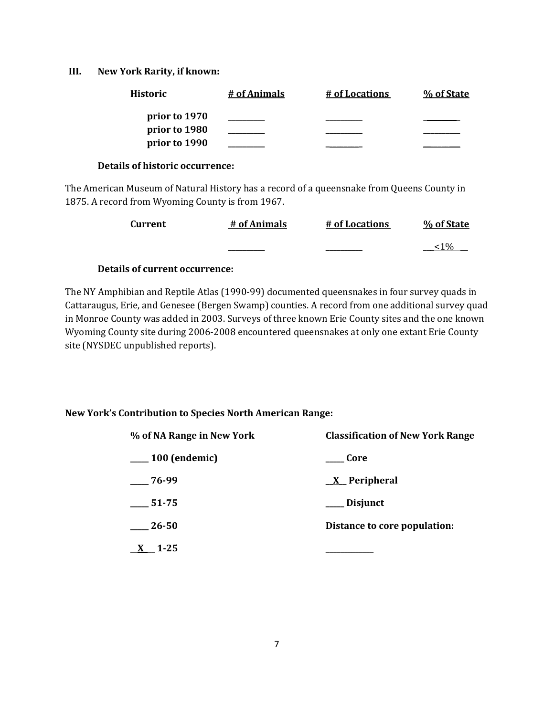#### **III. New York Rarity, if known:**

| <b>Historic</b> | # of Animals | # of Locations | % of State |
|-----------------|--------------|----------------|------------|
| prior to 1970   |              |                |            |
| prior to 1980   |              |                |            |
| prior to 1990   |              |                |            |

#### **Details of historic occurrence:**

The American Museum of Natural History has a record of a queensnake from Queens County in 1875. A record from Wyoming County is from 1967.

| <b>Current</b> | # of Animals | # of Locations | % of State      |
|----------------|--------------|----------------|-----------------|
|                |              |                | 10 <sub>o</sub> |

## **Details of current occurrence:**

The NY Amphibian and Reptile Atlas (1990-99) documented queensnakes in four survey quads in Cattaraugus, Erie, and Genesee (Bergen Swamp) counties. A record from one additional survey quad in Monroe County was added in 2003. Surveys of three known Erie County sites and the one known Wyoming County site during 2006-2008 encountered queensnakes at only one extant Erie County site (NYSDEC unpublished reports).

## **New York's Contribution to Species North American Range:**

| % of NA Range in New York | <b>Classification of New York Range</b> |
|---------------------------|-----------------------------------------|
| $\frac{100}{2}$ (endemic) | Core                                    |
| $-76-99$                  | $X$ Peripheral                          |
| 51-75                     | Disjunct                                |
| 26-50                     | Distance to core population:            |
| $1 - 25$                  |                                         |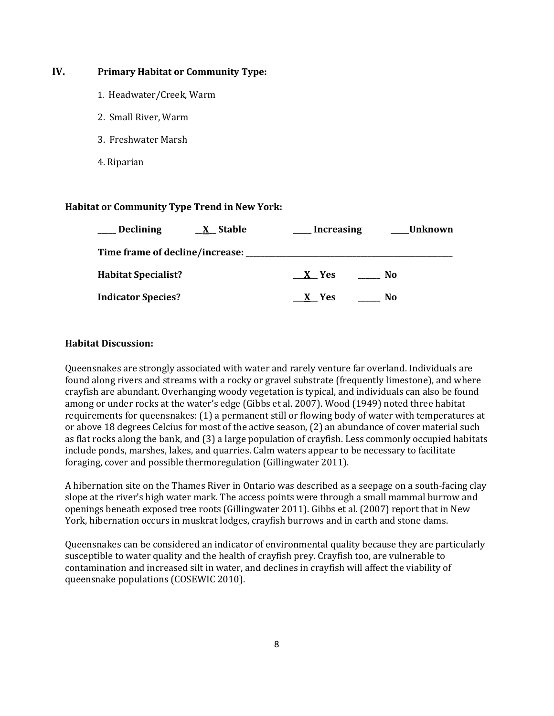## **IV. Primary Habitat or Community Type:**

- 1. Headwater/Creek, Warm
- 2. Small River, Warm
- 3. Freshwater Marsh
- 4. Riparian

#### **Habitat or Community Type Trend in New York:**

| <b>Declining</b>                | X Stable | <b>Increasing</b> |    | Unknown |
|---------------------------------|----------|-------------------|----|---------|
| Time frame of decline/increase: |          |                   |    |         |
| <b>Habitat Specialist?</b>      |          | $X$ Yes           | No |         |
| <b>Indicator Species?</b>       |          | X Yes             | No |         |

## **Habitat Discussion:**

Queensnakes are strongly associated with water and rarely venture far overland. Individuals are found along rivers and streams with a rocky or gravel substrate (frequently limestone), and where crayfish are abundant. Overhanging woody vegetation is typical, and individuals can also be found among or under rocks at the water's edge (Gibbs et al. 2007). Wood (1949) noted three habitat requirements for queensnakes: (1) a permanent still or flowing body of water with temperatures at or above 18 degrees Celcius for most of the active season, (2) an abundance of cover material such as flat rocks along the bank, and (3) a large population of crayfish. Less commonly occupied habitats include ponds, marshes, lakes, and quarries. Calm waters appear to be necessary to facilitate foraging, cover and possible thermoregulation (Gillingwater 2011).

A hibernation site on the Thames River in Ontario was described as a seepage on a south-facing clay slope at the river's high water mark. The access points were through a small mammal burrow and openings beneath exposed tree roots (Gillingwater 2011). Gibbs et al. (2007) report that in New York, hibernation occurs in muskrat lodges, crayfish burrows and in earth and stone dams.

Queensnakes can be considered an indicator of environmental quality because they are particularly susceptible to water quality and the health of crayfish prey. Crayfish too, are vulnerable to contamination and increased silt in water, and declines in crayfish will affect the viability of queensnake populations (COSEWIC 2010).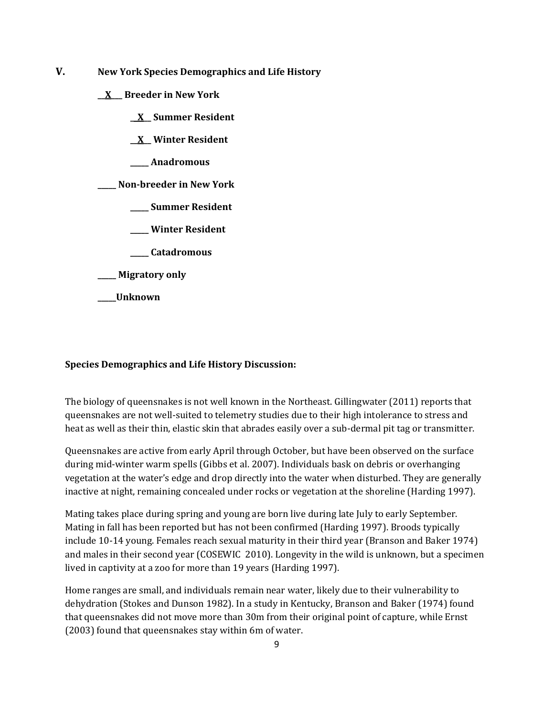- **V. New York Species Demographics and Life History**
	- **\_\_X\_\_\_ Breeder in New York**
		- **\_\_X\_\_ Summer Resident**
		- **\_\_X\_\_ Winter Resident**
		- **\_\_\_\_\_ Anadromous**

**\_\_\_\_\_ Non-breeder in New York**

- **\_\_\_\_\_ Summer Resident**
- **\_\_\_\_\_ Winter Resident**
- **\_\_\_\_\_ Catadromous**
- **\_\_\_\_\_ Migratory only**
- **\_\_\_\_\_Unknown**

#### **Species Demographics and Life History Discussion:**

The biology of queensnakes is not well known in the Northeast. Gillingwater (2011) reports that queensnakes are not well-suited to telemetry studies due to their high intolerance to stress and heat as well as their thin, elastic skin that abrades easily over a sub-dermal pit tag or transmitter.

Queensnakes are active from early April through October, but have been observed on the surface during mid-winter warm spells (Gibbs et al. 2007). Individuals bask on debris or overhanging vegetation at the water's edge and drop directly into the water when disturbed. They are generally inactive at night, remaining concealed under rocks or vegetation at the shoreline (Harding 1997).

Mating takes place during spring and young are born live during late July to early September. Mating in fall has been reported but has not been confirmed (Harding 1997). Broods typically include 10-14 young. Females reach sexual maturity in their third year (Branson and Baker 1974) and males in their second year (COSEWIC 2010). Longevity in the wild is unknown, but a specimen lived in captivity at a zoo for more than 19 years (Harding 1997).

Home ranges are small, and individuals remain near water, likely due to their vulnerability to dehydration (Stokes and Dunson 1982). In a study in Kentucky, Branson and Baker (1974) found that queensnakes did not move more than 30m from their original point of capture, while Ernst (2003) found that queensnakes stay within 6m of water.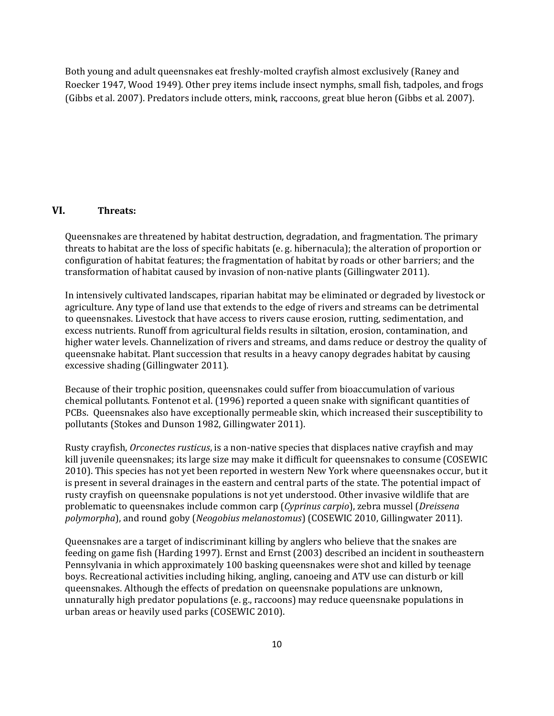Both young and adult queensnakes eat freshly-molted crayfish almost exclusively (Raney and Roecker 1947, Wood 1949). Other prey items include insect nymphs, small fish, tadpoles, and frogs (Gibbs et al. 2007). Predators include otters, mink, raccoons, great blue heron (Gibbs et al. 2007).

#### **VI. Threats:**

Queensnakes are threatened by habitat destruction, degradation, and fragmentation. The primary threats to habitat are the loss of specific habitats (e. g. hibernacula); the alteration of proportion or configuration of habitat features; the fragmentation of habitat by roads or other barriers; and the transformation of habitat caused by invasion of non-native plants (Gillingwater 2011).

In intensively cultivated landscapes, riparian habitat may be eliminated or degraded by livestock or agriculture. Any type of land use that extends to the edge of rivers and streams can be detrimental to queensnakes. Livestock that have access to rivers cause erosion, rutting, sedimentation, and excess nutrients. Runoff from agricultural fields results in siltation, erosion, contamination, and higher water levels. Channelization of rivers and streams, and dams reduce or destroy the quality of queensnake habitat. Plant succession that results in a heavy canopy degrades habitat by causing excessive shading (Gillingwater 2011).

Because of their trophic position, queensnakes could suffer from bioaccumulation of various chemical pollutants. Fontenot et al. (1996) reported a queen snake with significant quantities of PCBs. Queensnakes also have exceptionally permeable skin, which increased their susceptibility to pollutants (Stokes and Dunson 1982, Gillingwater 2011).

Rusty crayfish, *Orconectes rusticus*, is a non-native species that displaces native crayfish and may kill juvenile queensnakes; its large size may make it difficult for queensnakes to consume (COSEWIC 2010). This species has not yet been reported in western New York where queensnakes occur, but it is present in several drainages in the eastern and central parts of the state. The potential impact of rusty crayfish on queensnake populations is not yet understood. Other invasive wildlife that are problematic to queensnakes include common carp (*Cyprinus carpio*), zebra mussel (*Dreissena polymorpha*), and round goby (*Neogobius melanostomus*) (COSEWIC 2010, Gillingwater 2011).

Queensnakes are a target of indiscriminant killing by anglers who believe that the snakes are feeding on game fish (Harding 1997). Ernst and Ernst (2003) described an incident in southeastern Pennsylvania in which approximately 100 basking queensnakes were shot and killed by teenage boys. Recreational activities including hiking, angling, canoeing and ATV use can disturb or kill queensnakes. Although the effects of predation on queensnake populations are unknown, unnaturally high predator populations (e. g., raccoons) may reduce queensnake populations in urban areas or heavily used parks (COSEWIC 2010).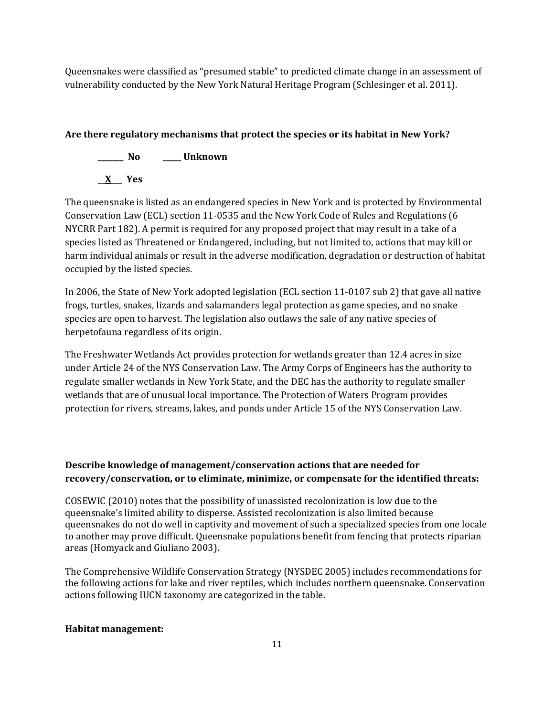Queensnakes were classified as "presumed stable" to predicted climate change in an assessment of vulnerability conducted by the New York Natural Heritage Program (Schlesinger et al. 2011).

# **Are there regulatory mechanisms that protect the species or its habitat in New York?**

**\_\_\_\_\_\_\_ No \_\_\_\_\_ Unknown \_\_X\_\_\_ Yes** 

The queensnake is listed as an endangered species in New York and is protected by Environmental Conservation Law (ECL) section 11-0535 and the New York Code of Rules and Regulations (6 NYCRR Part 182). A permit is required for any proposed project that may result in a take of a species listed as Threatened or Endangered, including, but not limited to, actions that may kill or harm individual animals or result in the adverse modification, degradation or destruction of habitat occupied by the listed species.

In 2006, the State of New York adopted legislation (ECL section 11-0107 sub 2) that gave all native frogs, turtles, snakes, lizards and salamanders legal protection as game species, and no snake species are open to harvest. The legislation also outlaws the sale of any native species of herpetofauna regardless of its origin.

The Freshwater Wetlands Act provides protection for wetlands greater than 12.4 acres in size under Article 24 of the NYS Conservation Law. The Army Corps of Engineers has the authority to regulate smaller wetlands in New York State, and the DEC has the authority to regulate smaller wetlands that are of unusual local importance. The Protection of Waters Program provides protection for rivers, streams, lakes, and ponds under Article 15 of the NYS Conservation Law.

# **Describe knowledge of management/conservation actions that are needed for recovery/conservation, or to eliminate, minimize, or compensate for the identified threats:**

COSEWIC (2010) notes that the possibility of unassisted recolonization is low due to the queensnake's limited ability to disperse. Assisted recolonization is also limited because queensnakes do not do well in captivity and movement of such a specialized species from one locale to another may prove difficult. Queensnake populations benefit from fencing that protects riparian areas (Homyack and Giuliano 2003).

The Comprehensive Wildlife Conservation Strategy (NYSDEC 2005) includes recommendations for the following actions for lake and river reptiles, which includes northern queensnake. Conservation actions following IUCN taxonomy are categorized in the table.

# **Habitat management:**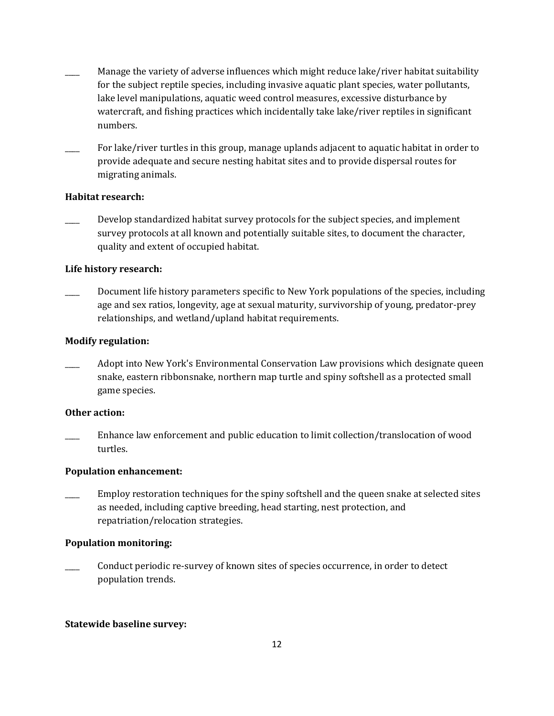- Manage the variety of adverse influences which might reduce lake/river habitat suitability for the subject reptile species, including invasive aquatic plant species, water pollutants, lake level manipulations, aquatic weed control measures, excessive disturbance by watercraft, and fishing practices which incidentally take lake/river reptiles in significant numbers.
- For lake/river turtles in this group, manage uplands adjacent to aquatic habitat in order to provide adequate and secure nesting habitat sites and to provide dispersal routes for migrating animals.

## **Habitat research:**

Develop standardized habitat survey protocols for the subject species, and implement survey protocols at all known and potentially suitable sites, to document the character, quality and extent of occupied habitat.

## **Life history research:**

Document life history parameters specific to New York populations of the species, including age and sex ratios, longevity, age at sexual maturity, survivorship of young, predator-prey relationships, and wetland/upland habitat requirements.

## **Modify regulation:**

\_\_\_\_ Adopt into New York's Environmental Conservation Law provisions which designate queen snake, eastern ribbonsnake, northern map turtle and spiny softshell as a protected small game species.

## **Other action:**

Enhance law enforcement and public education to limit collection/translocation of wood turtles.

## **Population enhancement:**

Employ restoration techniques for the spiny softshell and the queen snake at selected sites as needed, including captive breeding, head starting, nest protection, and repatriation/relocation strategies.

## **Population monitoring:**

\_\_\_\_ Conduct periodic re-survey of known sites of species occurrence, in order to detect population trends.

## **Statewide baseline survey:**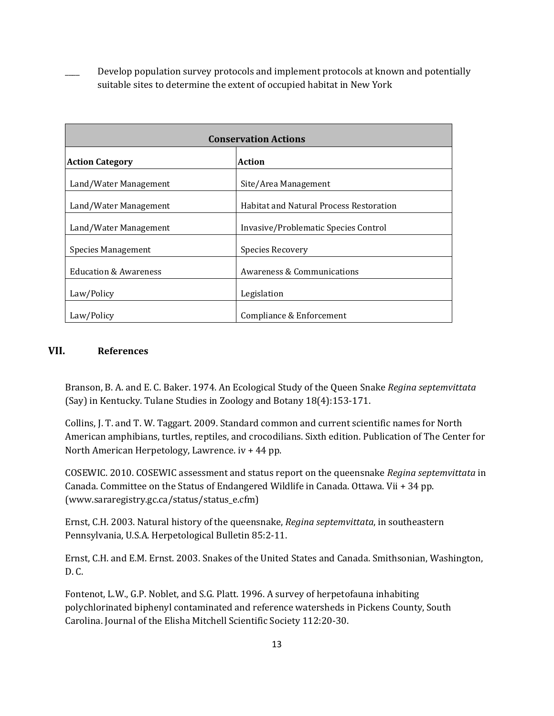Develop population survey protocols and implement protocols at known and potentially suitable sites to determine the extent of occupied habitat in New York

| <b>Conservation Actions</b>      |                                                |  |
|----------------------------------|------------------------------------------------|--|
| <b>Action Category</b>           | Action                                         |  |
| Land/Water Management            | Site/Area Management                           |  |
| Land/Water Management            | <b>Habitat and Natural Process Restoration</b> |  |
| Land/Water Management            | Invasive/Problematic Species Control           |  |
| Species Management               | Species Recovery                               |  |
| <b>Education &amp; Awareness</b> | Awareness & Communications                     |  |
| Law/Policy                       | Legislation                                    |  |
| Law/Policy                       | Compliance & Enforcement                       |  |

## **VII. References**

Branson, B. A. and E. C. Baker. 1974. An Ecological Study of the Queen Snake *Regina septemvittata*  (Say) in Kentucky. Tulane Studies in Zoology and Botany 18(4):153-171.

Collins, J. T. and T. W. Taggart. 2009. Standard common and current scientific names for North American amphibians, turtles, reptiles, and crocodilians. Sixth edition. Publication of The Center for North American Herpetology, Lawrence. iv + 44 pp.

COSEWIC. 2010. COSEWIC assessment and status report on the queensnake *Regina septemvittata* in Canada. Committee on the Status of Endangered Wildlife in Canada. Ottawa. Vii + 34 pp. (www.sararegistry.gc.ca/status/status\_e.cfm)

Ernst, C.H. 2003. Natural history of the queensnake, *Regina septemvittata*, in southeastern Pennsylvania, U.S.A. Herpetological Bulletin 85:2-11.

Ernst, C.H. and E.M. Ernst. 2003. Snakes of the United States and Canada. Smithsonian, Washington, D. C.

Fontenot, L.W., G.P. Noblet, and S.G. Platt. 1996. A survey of herpetofauna inhabiting polychlorinated biphenyl contaminated and reference watersheds in Pickens County, South Carolina. Journal of the Elisha Mitchell Scientific Society 112:20-30.